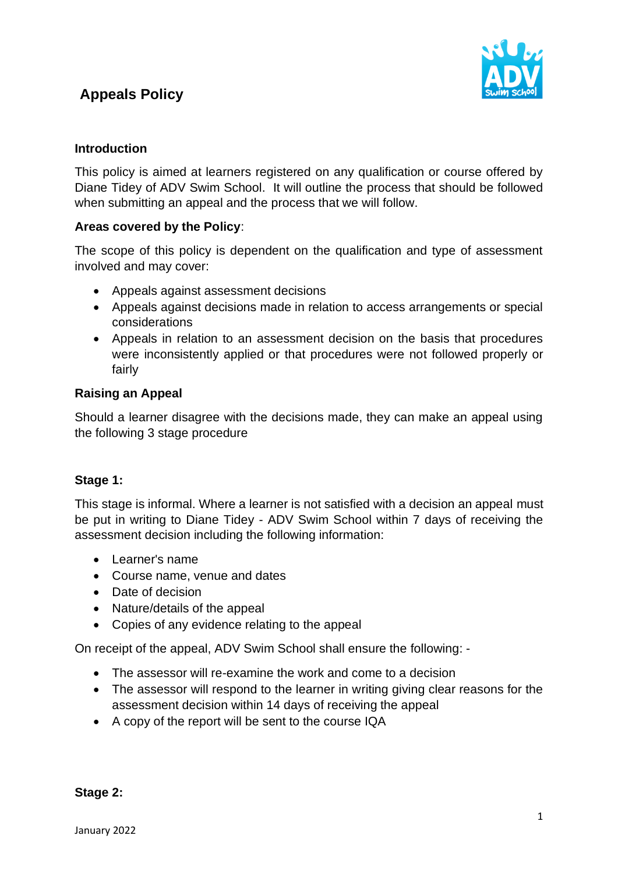# **Appeals Policy**



## **Introduction**

This policy is aimed at learners registered on any qualification or course offered by Diane Tidey of ADV Swim School. It will outline the process that should be followed when submitting an appeal and the process that we will follow.

## **Areas covered by the Policy**:

The scope of this policy is dependent on the qualification and type of assessment involved and may cover:

- Appeals against assessment decisions
- Appeals against decisions made in relation to access arrangements or special considerations
- Appeals in relation to an assessment decision on the basis that procedures were inconsistently applied or that procedures were not followed properly or fairly

## **Raising an Appeal**

Should a learner disagree with the decisions made, they can make an appeal using the following 3 stage procedure

### **Stage 1:**

This stage is informal. Where a learner is not satisfied with a decision an appeal must be put in writing to Diane Tidey - ADV Swim School within 7 days of receiving the assessment decision including the following information:

- Learner's name
- Course name, venue and dates
- Date of decision
- Nature/details of the appeal
- Copies of any evidence relating to the appeal

On receipt of the appeal, ADV Swim School shall ensure the following: -

- The assessor will re-examine the work and come to a decision
- The assessor will respond to the learner in writing giving clear reasons for the assessment decision within 14 days of receiving the appeal
- A copy of the report will be sent to the course IQA

**Stage 2:**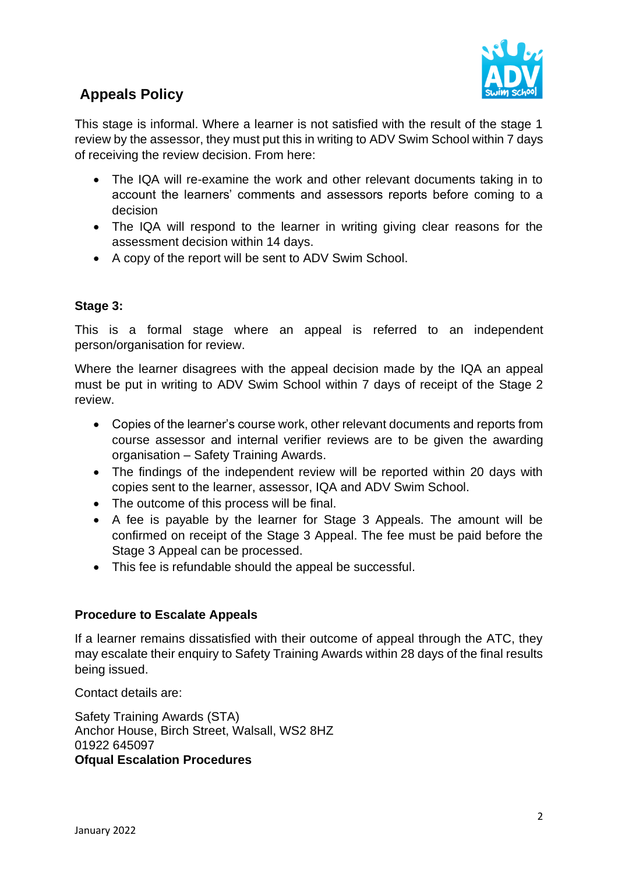

## **Appeals Policy**

This stage is informal. Where a learner is not satisfied with the result of the stage 1 review by the assessor, they must put this in writing to ADV Swim School within 7 days of receiving the review decision. From here:

- The IQA will re-examine the work and other relevant documents taking in to account the learners' comments and assessors reports before coming to a decision
- The IQA will respond to the learner in writing giving clear reasons for the assessment decision within 14 days.
- A copy of the report will be sent to ADV Swim School.

### **Stage 3:**

This is a formal stage where an appeal is referred to an independent person/organisation for review.

Where the learner disagrees with the appeal decision made by the IQA an appeal must be put in writing to ADV Swim School within 7 days of receipt of the Stage 2 review.

- Copies of the learner's course work, other relevant documents and reports from course assessor and internal verifier reviews are to be given the awarding organisation – Safety Training Awards.
- The findings of the independent review will be reported within 20 days with copies sent to the learner, assessor, IQA and ADV Swim School.
- The outcome of this process will be final.
- A fee is payable by the learner for Stage 3 Appeals. The amount will be confirmed on receipt of the Stage 3 Appeal. The fee must be paid before the Stage 3 Appeal can be processed.
- This fee is refundable should the appeal be successful.

### **Procedure to Escalate Appeals**

If a learner remains dissatisfied with their outcome of appeal through the ATC, they may escalate their enquiry to Safety Training Awards within 28 days of the final results being issued.

Contact details are:

Safety Training Awards (STA) Anchor House, Birch Street, Walsall, WS2 8HZ 01922 645097 **Ofqual Escalation Procedures**